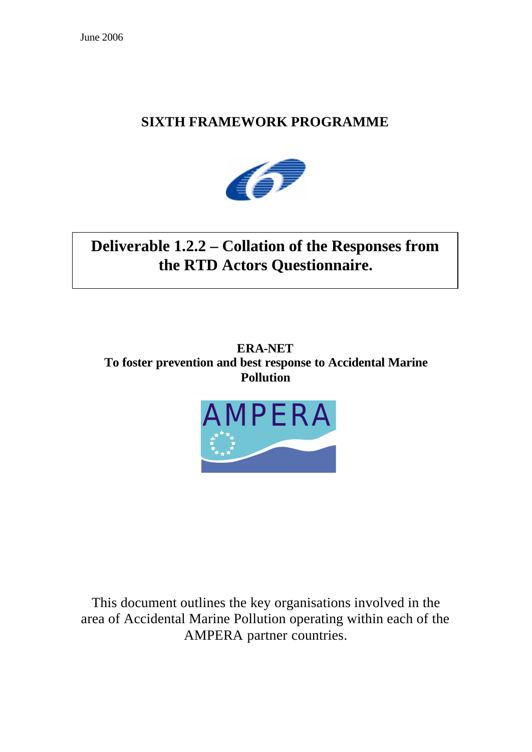# **SIXTH FRAMEWORK PROGRAMME**



# **Deliverable 1.2.2 – Collation of the Responses from the RTD Actors Questionnaire.**

**ERA-NET To foster prevention and best response to Accidental Marine Pollution**



This document outlines the key organisations involved in the area of Accidental Marine Pollution operating within each of the AMPERA partner countries.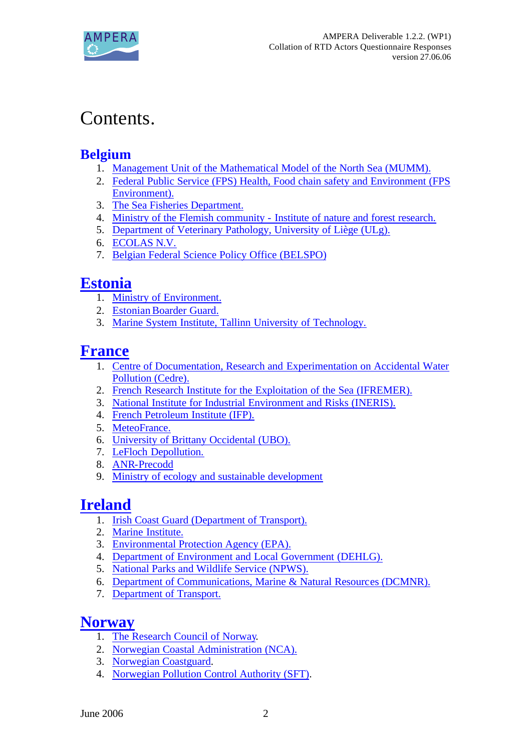

# Contents.

# **Belgium**

- 1. Management Unit of the Mathematical Model of the North Sea (MUMM).
- 2. Federal Public Service (FPS) Health, Food chain safety and Environment (FPS Environment).
- 3. The Sea Fisheries Department.
- 4. Ministry of the Flemish community Institute of nature and forest research.
- 5. Department of Veterinary Pathology, University of Liège (ULg).
- 6. ECOLAS N.V.
- 7. Belgian Federal Science Policy Office (BELSPO)

# **Estonia**

- 1. Ministry of Environment.
- 2. Estonian Boarder Guard.
- 3. Marine System Institute, Tallinn University of Technology.

# **France**

- 1. Centre of Documentation, Research and Experimentation on Accidental Water Pollution (Cedre).
- 2. French Research Institute for the Exploitation of the Sea (IFREMER).
- 3. National Institute for Industrial Environment and Risks (INERIS).
- 4. French Petroleum Institute (IFP).
- 5. MeteoFrance.
- 6. University of Brittany Occidental (UBO).
- 7. LeFloch Depollution.
- 8. ANR-Precodd
- 9. Ministry of ecology and sustainable development

# **Ireland**

- 1. Irish Coast Guard (Department of Transport).
- 2. Marine Institute.
- 3. Environmental Protection Agency (EPA).
- 4. Department of Environment and Local Government (DEHLG).
- 5. National Parks and Wildlife Service (NPWS).
- 6. Department of Communications, Marine & Natural Resources (DCMNR).
- 7. Department of Transport.

# **Norway**

- 1. The Research Council of Norway.
- 2. Norwegian Coastal Administration (NCA).
- 3. Norwegian Coastguard.
- 4. Norwegian Pollution Control Authority (SFT).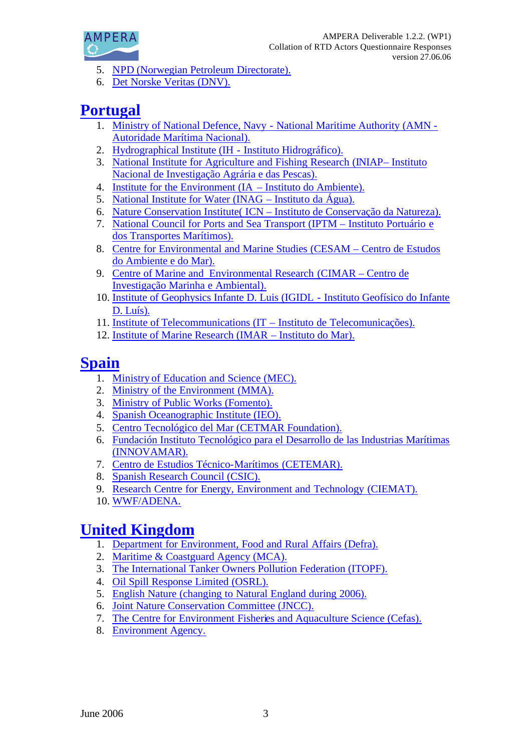

- 5. NPD (Norwegian Petroleum Directorate).
- 6. Det Norske Veritas (DNV).

# **Portugal**

- 1. Ministry of National Defence, Navy National Maritime Authority (AMN Autoridade Marítima Nacional).
- 2. Hydrographical Institute (IH Instituto Hidrográfico).
- 3. National Institute for Agriculture and Fishing Research (INIAP– Instituto Nacional de Investigação Agrária e das Pescas).
- 4. Institute for the Environment (IA Instituto do Ambiente).
- 5. National Institute for Water (INAG Instituto da Água).
- 6. Nature Conservation Institute( ICN Instituto de Conservação da Natureza).
- 7. National Council for Ports and Sea Transport (IPTM Instituto Portuário e dos Transportes Marítimos).
- 8. Centre for Environmental and Marine Studies (CESAM Centro de Estudos do Ambiente e do Mar).
- 9. Centre of Marine and Environmental Research (CIMAR Centro de Investigação Marinha e Ambiental).
- 10. Institute of Geophysics Infante D. Luis (IGIDL Instituto Geofísico do Infante D. Luís).
- 11. Institute of Telecommunications (IT Instituto de Telecomunicações).
- 12. Institute of Marine Research (IMAR Instituto do Mar).

# **Spain**

- 1. Ministry of Education and Science (MEC).
- 2. Ministry of the Environment (MMA).
- 3. Ministry of Public Works (Fomento).
- 4. Spanish Oceanographic Institute (IEO).
- 5. Centro Tecnológico del Mar (CETMAR Foundation).
- 6. Fundación Instituto Tecnológico para el Desarrollo de las Industrias Marítimas (INNOVAMAR).
- 7. Centro de Estudios Técnico-Marítimos (CETEMAR).
- 8. Spanish Research Council (CSIC).
- 9. Research Centre for Energy, Environment and Technology (CIEMAT).
- 10. WWF/ADENA.

# **United Kingdom**

- 1. Department for Environment, Food and Rural Affairs (Defra).
- 2. Maritime & Coastguard Agency (MCA).
- 3. The International Tanker Owners Pollution Federation (ITOPF).
- 4. Oil Spill Response Limited (OSRL).
- 5. English Nature (changing to Natural England during 2006).
- 6. Joint Nature Conservation Committee (JNCC).
- 7. The Centre for Environment Fisheries and Aquaculture Science (Cefas).
- 8. Environment Agency.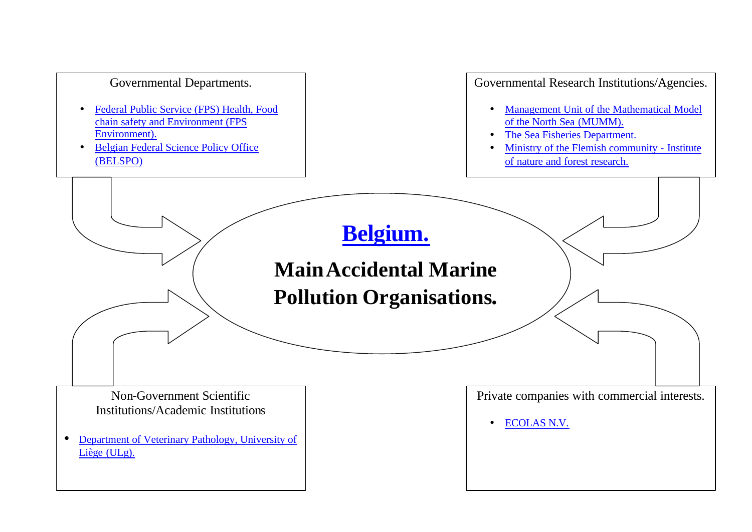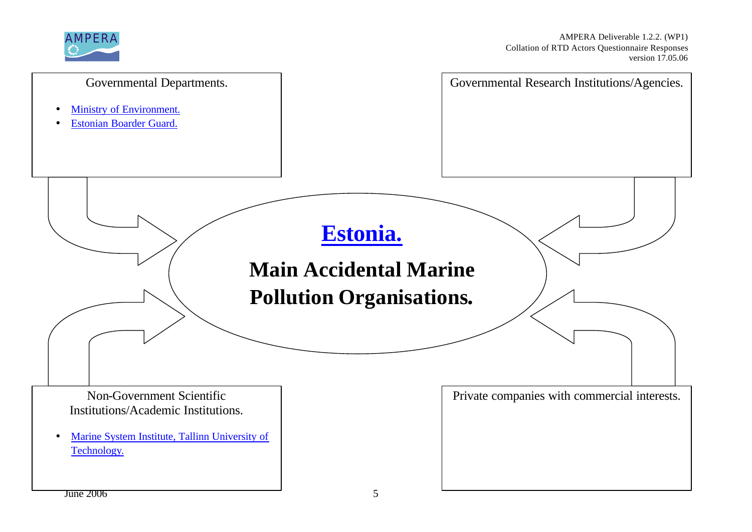

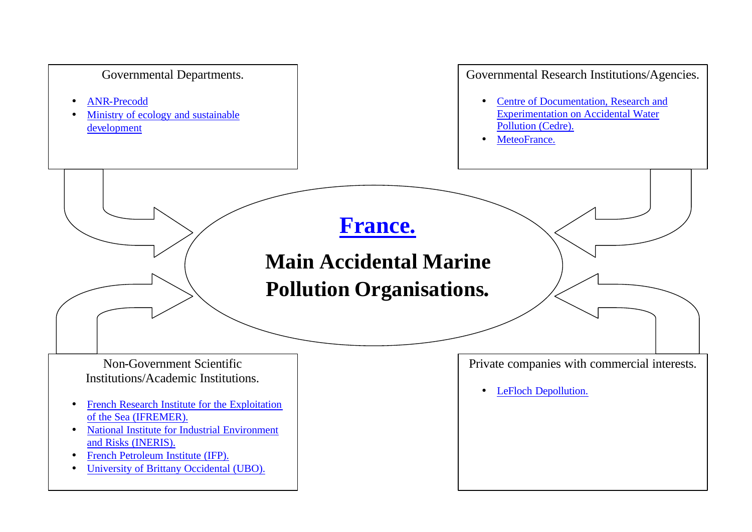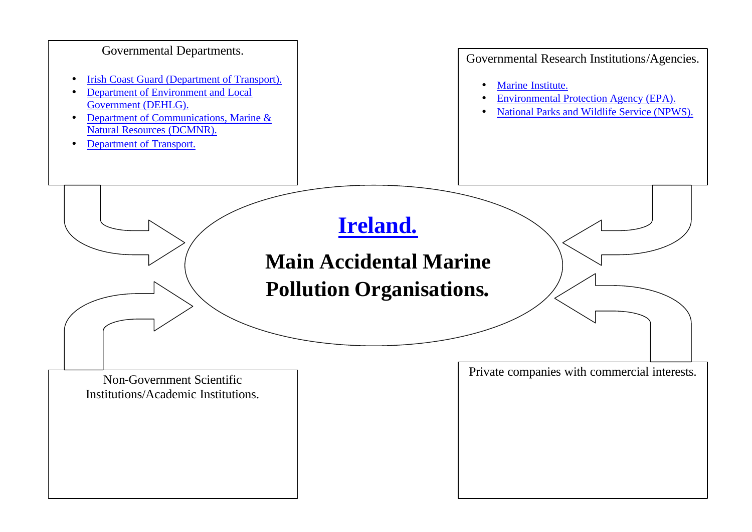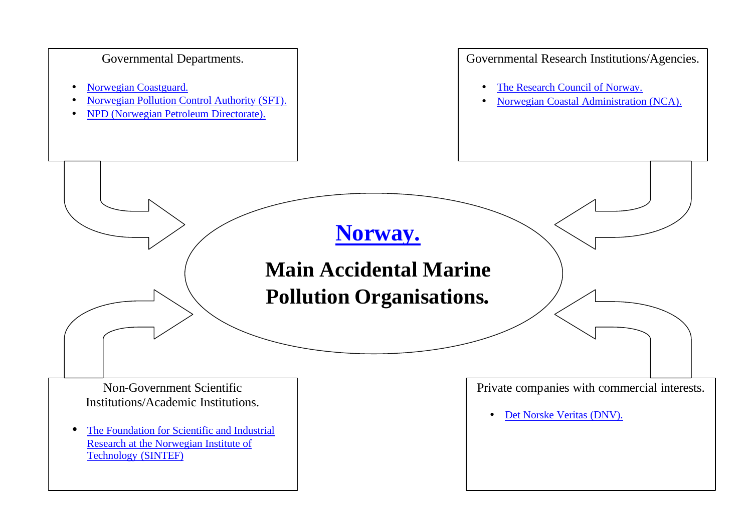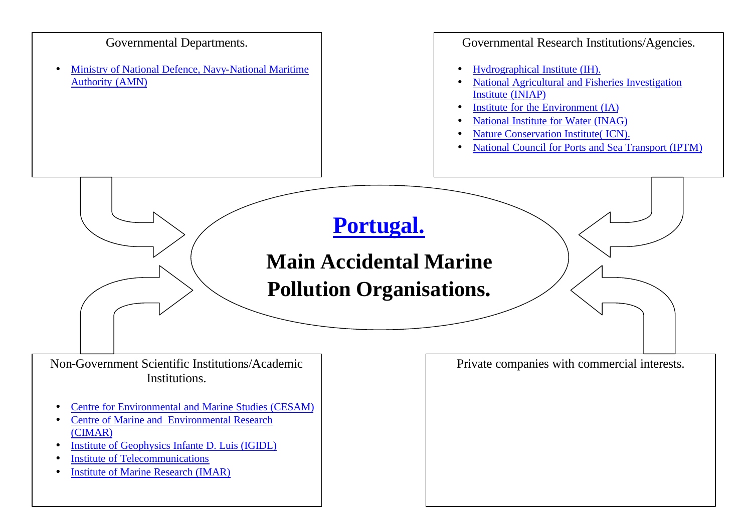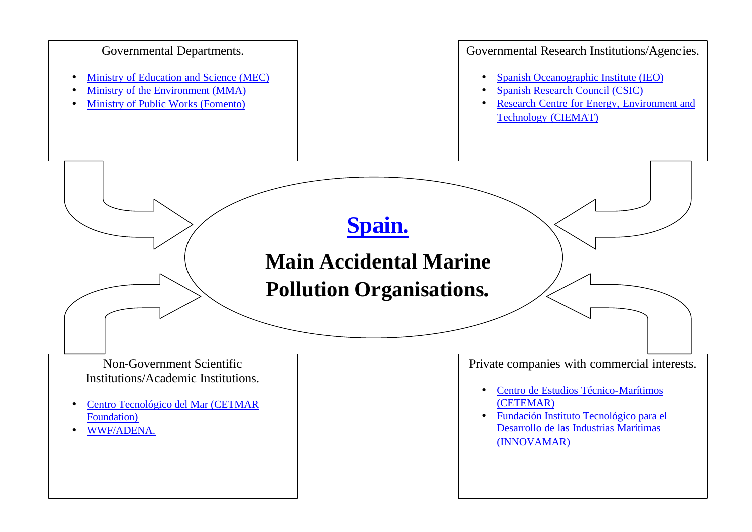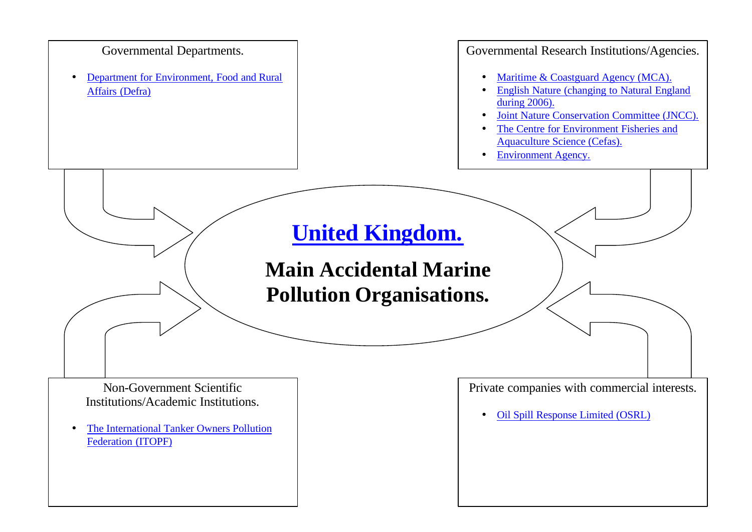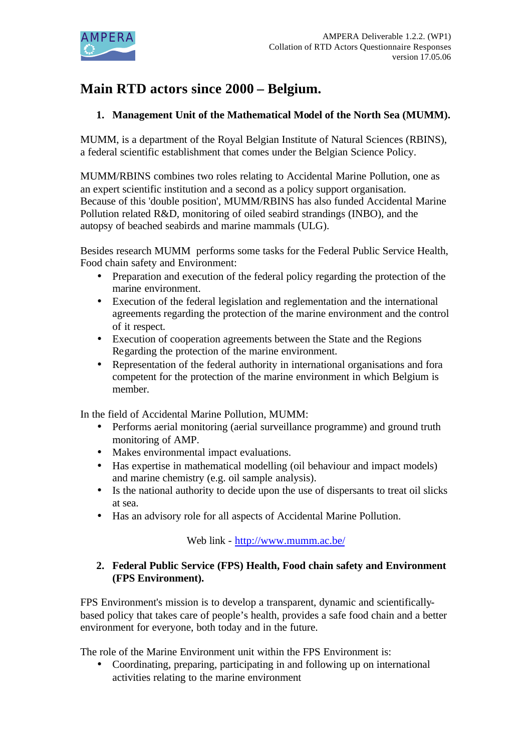

# **Main RTD actors since 2000 – Belgium.**

# **1. Management Unit of the Mathematical Model of the North Sea (MUMM).**

MUMM, is a department of the Royal Belgian Institute of Natural Sciences (RBINS), a federal scientific establishment that comes under the Belgian Science Policy.

MUMM/RBINS combines two roles relating to Accidental Marine Pollution, one as an expert scientific institution and a second as a policy support organisation. Because of this 'double position', MUMM/RBINS has also funded Accidental Marine Pollution related R&D, monitoring of oiled seabird strandings (INBO), and the autopsy of beached seabirds and marine mammals (ULG).

Besides research MUMM performs some tasks for the Federal Public Service Health, Food chain safety and Environment:

- Preparation and execution of the federal policy regarding the protection of the marine environment.
- Execution of the federal legislation and reglementation and the international agreements regarding the protection of the marine environment and the control of it respect.
- Execution of cooperation agreements between the State and the Regions Regarding the protection of the marine environment.
- Representation of the federal authority in international organisations and fora competent for the protection of the marine environment in which Belgium is member.

In the field of Accidental Marine Pollution, MUMM:

- Performs aerial monitoring (aerial surveillance programme) and ground truth monitoring of AMP.
- Makes environmental impact evaluations.
- Has expertise in mathematical modelling (oil behaviour and impact models) and marine chemistry (e.g. oil sample analysis).
- Is the national authority to decide upon the use of dispersants to treat oil slicks at sea.
- Has an advisory role for all aspects of Accidental Marine Pollution.

Web link - http://www.mumm.ac.be/

# **2. Federal Public Service (FPS) Health, Food chain safety and Environment (FPS Environment).**

FPS Environment's mission is to develop a transparent, dynamic and scientificallybased policy that takes care of people's health, provides a safe food chain and a better environment for everyone, both today and in the future.

The role of the Marine Environment unit within the FPS Environment is:

• Coordinating, preparing, participating in and following up on international activities relating to the marine environment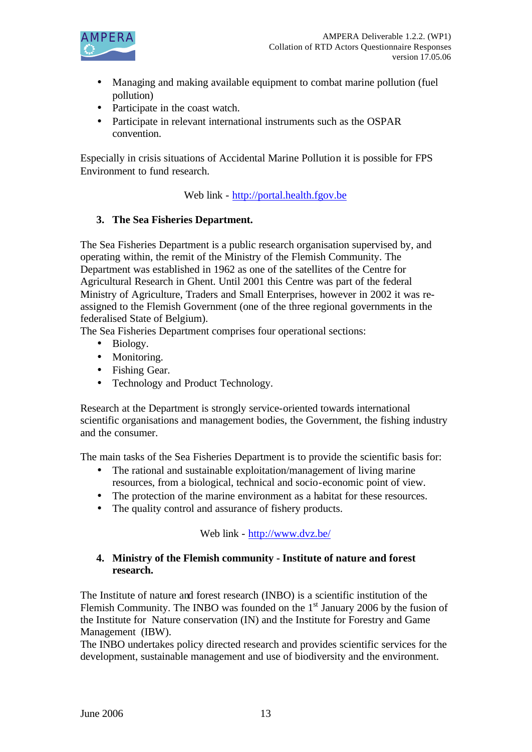

- Managing and making available equipment to combat marine pollution (fuel pollution)
- Participate in the coast watch.
- Participate in relevant international instruments such as the OSPAR convention.

Especially in crisis situations of Accidental Marine Pollution it is possible for FPS Environment to fund research.

Web link - http://portal.health.fgov.be

# **3. The Sea Fisheries Department.**

The Sea Fisheries Department is a public research organisation supervised by, and operating within, the remit of the Ministry of the Flemish Community. The Department was established in 1962 as one of the satellites of the Centre for Agricultural Research in Ghent. Until 2001 this Centre was part of the federal Ministry of Agriculture, Traders and Small Enterprises, however in 2002 it was reassigned to the Flemish Government (one of the three regional governments in the federalised State of Belgium).

The Sea Fisheries Department comprises four operational sections:

- Biology.
- Monitoring.
- Fishing Gear.
- Technology and Product Technology.

Research at the Department is strongly service-oriented towards international scientific organisations and management bodies, the Government, the fishing industry and the consumer.

The main tasks of the Sea Fisheries Department is to provide the scientific basis for:

- The rational and sustainable exploitation/management of living marine resources, from a biological, technical and socio-economic point of view.
- The protection of the marine environment as a habitat for these resources.
- The quality control and assurance of fishery products.

# Web link - http://www.dvz.be/

#### **4. Ministry of the Flemish community - Institute of nature and forest research.**

The Institute of nature and forest research (INBO) is a scientific institution of the Flemish Community. The INBO was founded on the  $1<sup>st</sup>$  January 2006 by the fusion of the Institute for Nature conservation (IN) and the Institute for Forestry and Game Management (IBW).

The INBO undertakes policy directed research and provides scientific services for the development, sustainable management and use of biodiversity and the environment.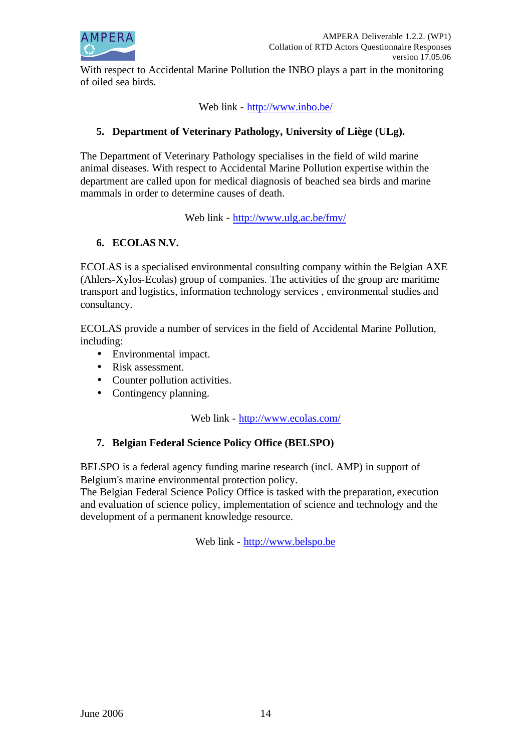

With respect to Accidental Marine Pollution the INBO plays a part in the monitoring of oiled sea birds.

Web link - http://www.inbo.be/

### **5. Department of Veterinary Pathology, University of Liège (ULg).**

The Department of Veterinary Pathology specialises in the field of wild marine animal diseases. With respect to Accidental Marine Pollution expertise within the department are called upon for medical diagnosis of beached sea birds and marine mammals in order to determine causes of death.

Web link - http://www.ulg.ac.be/fmv/

# **6. ECOLAS N.V.**

ECOLAS is a specialised environmental consulting company within the Belgian AXE (Ahlers-Xylos-Ecolas) group of companies. The activities of the group are maritime transport and logistics, information technology services , environmental studies and consultancy.

ECOLAS provide a number of services in the field of Accidental Marine Pollution, including:

- Environmental impact.
- Risk assessment.
- Counter pollution activities.
- Contingency planning.

Web link - http://www.ecolas.com/

#### **7. Belgian Federal Science Policy Office (BELSPO)**

BELSPO is a federal agency funding marine research (incl. AMP) in support of Belgium's marine environmental protection policy.

The Belgian Federal Science Policy Office is tasked with the preparation, execution and evaluation of science policy, implementation of science and technology and the development of a permanent knowledge resource.

Web link - http://www.belspo.be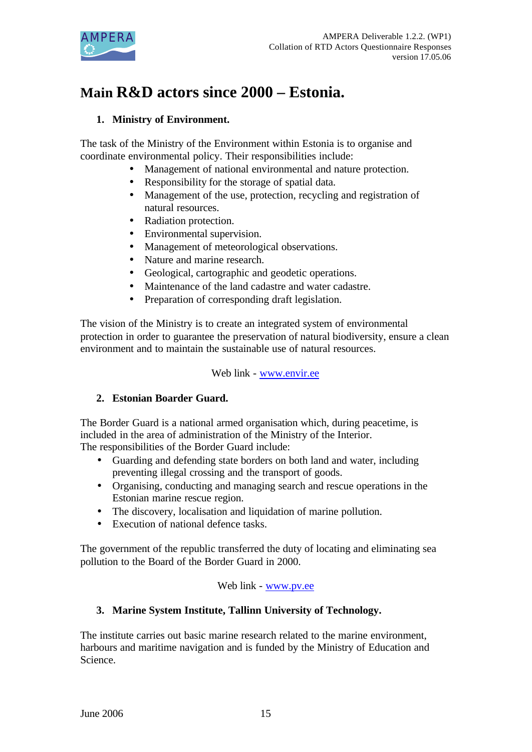

# **Main R&D actors since 2000 – Estonia.**

# **1. Ministry of Environment.**

The task of the Ministry of the Environment within Estonia is to organise and coordinate environmental policy. Their responsibilities include:

- Management of national environmental and nature protection.
- Responsibility for the storage of spatial data.
- Management of the use, protection, recycling and registration of natural resources.
- Radiation protection.
- Environmental supervision.
- Management of meteorological observations.
- Nature and marine research.
- Geological, cartographic and geodetic operations.
- Maintenance of the land cadastre and water cadastre.
- Preparation of corresponding draft legislation.

The vision of the Ministry is to create an integrated system of environmental protection in order to guarantee the preservation of natural biodiversity, ensure a clean environment and to maintain the sustainable use of natural resources.

Web link - www.envir.ee

# **2. Estonian Boarder Guard.**

The Border Guard is a national armed organisation which, during peacetime, is included in the area of administration of the Ministry of the Interior. The responsibilities of the Border Guard include:

- Guarding and defending state borders on both land and water, including preventing illegal crossing and the transport of goods.
- Organising, conducting and managing search and rescue operations in the Estonian marine rescue region.
- The discovery, localisation and liquidation of marine pollution.
- Execution of national defence tasks.

The government of the republic transferred the duty of locating and eliminating sea pollution to the Board of the Border Guard in 2000.

# Web link - www.pv.ee

# **3. Marine System Institute, Tallinn University of Technology.**

The institute carries out basic marine research related to the marine environment, harbours and maritime navigation and is funded by the Ministry of Education and Science.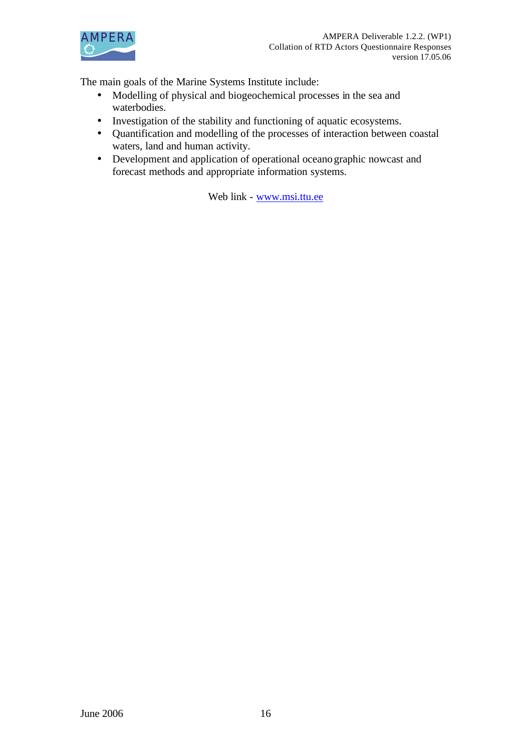

The main goals of the Marine Systems Institute include:

- Modelling of physical and biogeochemical processes in the sea and waterbodies.
- Investigation of the stability and functioning of aquatic ecosystems.
- Quantification and modelling of the processes of interaction between coastal waters, land and human activity.
- Development and application of operational oceanographic nowcast and forecast methods and appropriate information systems.

Web link - www.msi.ttu.ee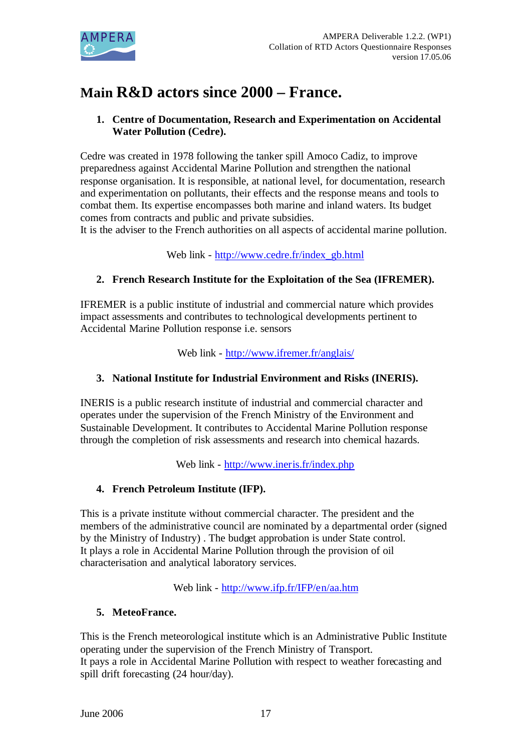

# **Main R&D actors since 2000 – France.**

# **1. Centre of Documentation, Research and Experimentation on Accidental Water Pollution (Cedre).**

Cedre was created in 1978 following the tanker spill Amoco Cadiz, to improve preparedness against Accidental Marine Pollution and strengthen the national response organisation. It is responsible, at national level, for documentation, research and experimentation on pollutants, their effects and the response means and tools to combat them. Its expertise encompasses both marine and inland waters. Its budget comes from contracts and public and private subsidies.

It is the adviser to the French authorities on all aspects of accidental marine pollution.

Web link - http://www.cedre.fr/index\_gb.html

# **2. French Research Institute for the Exploitation of the Sea (IFREMER).**

IFREMER is a public institute of industrial and commercial nature which provides impact assessments and contributes to technological developments pertinent to Accidental Marine Pollution response i.e. sensors

Web link - http://www.ifremer.fr/anglais/

# **3. National Institute for Industrial Environment and Risks (INERIS).**

INERIS is a public research institute of industrial and commercial character and operates under the supervision of the French Ministry of the Environment and Sustainable Development. It contributes to Accidental Marine Pollution response through the completion of risk assessments and research into chemical hazards.

Web link - http://www.ineris.fr/index.php

# **4. French Petroleum Institute (IFP).**

This is a private institute without commercial character. The president and the members of the administrative council are nominated by a departmental order (signed by the Ministry of Industry) . The budget approbation is under State control. It plays a role in Accidental Marine Pollution through the provision of oil characterisation and analytical laboratory services.

Web link - http://www.ifp.fr/IFP/en/aa.htm

# **5. MeteoFrance.**

This is the French meteorological institute which is an Administrative Public Institute operating under the supervision of the French Ministry of Transport. It pays a role in Accidental Marine Pollution with respect to weather forecasting and spill drift forecasting (24 hour/day).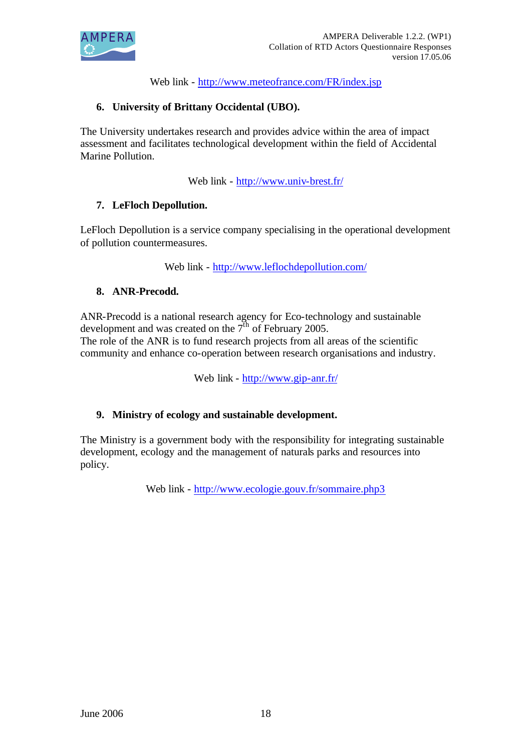

Web link - http://www.meteofrance.com/FR/index.jsp

# **6. University of Brittany Occidental (UBO).**

The University undertakes research and provides advice within the area of impact assessment and facilitates technological development within the field of Accidental Marine Pollution.

Web link - http://www.univ-brest.fr/

# **7. LeFloch Depollution.**

LeFloch Depollution is a service company specialising in the operational development of pollution countermeasures.

Web link - http://www.leflochdepollution.com/

#### **8. ANR-Precodd.**

ANR-Precodd is a national research agency for Eco-technology and sustainable development and was created on the  $7<sup>th</sup>$  of February 2005.

The role of the ANR is to fund research projects from all areas of the scientific community and enhance co-operation between research organisations and industry.

Web link - http://www.gip-anr.fr/

#### **9. Ministry of ecology and sustainable development.**

The Ministry is a government body with the responsibility for integrating sustainable development, ecology and the management of naturals parks and resources into policy.

Web link - http://www.ecologie.gouv.fr/sommaire.php3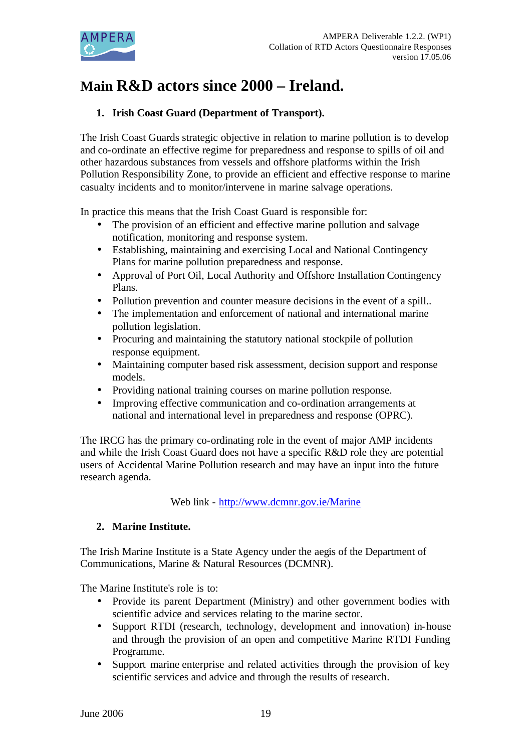

# **Main R&D actors since 2000 – Ireland.**

# **1. Irish Coast Guard (Department of Transport).**

The Irish Coast Guards strategic objective in relation to marine pollution is to develop and co-ordinate an effective regime for preparedness and response to spills of oil and other hazardous substances from vessels and offshore platforms within the Irish Pollution Responsibility Zone, to provide an efficient and effective response to marine casualty incidents and to monitor/intervene in marine salvage operations.

In practice this means that the Irish Coast Guard is responsible for:

- The provision of an efficient and effective marine pollution and salvage notification, monitoring and response system.
- Establishing, maintaining and exercising Local and National Contingency Plans for marine pollution preparedness and response.
- Approval of Port Oil, Local Authority and Offshore Installation Contingency Plans.
- Pollution prevention and counter measure decisions in the event of a spill..
- The implementation and enforcement of national and international marine pollution legislation.
- Procuring and maintaining the statutory national stockpile of pollution response equipment.
- Maintaining computer based risk assessment, decision support and response models.
- Providing national training courses on marine pollution response.
- Improving effective communication and co-ordination arrangements at national and international level in preparedness and response (OPRC).

The IRCG has the primary co-ordinating role in the event of major AMP incidents and while the Irish Coast Guard does not have a specific R&D role they are potential users of Accidental Marine Pollution research and may have an input into the future research agenda.

Web link - http://www.dcmnr.gov.ie/Marine

# **2. Marine Institute.**

The Irish Marine Institute is a State Agency under the aegis of the Department of Communications, Marine & Natural Resources (DCMNR).

The Marine Institute's role is to:

- Provide its parent Department (Ministry) and other government bodies with scientific advice and services relating to the marine sector.
- Support RTDI (research, technology, development and innovation) in-house and through the provision of an open and competitive Marine RTDI Funding Programme.
- Support marine enterprise and related activities through the provision of key scientific services and advice and through the results of research.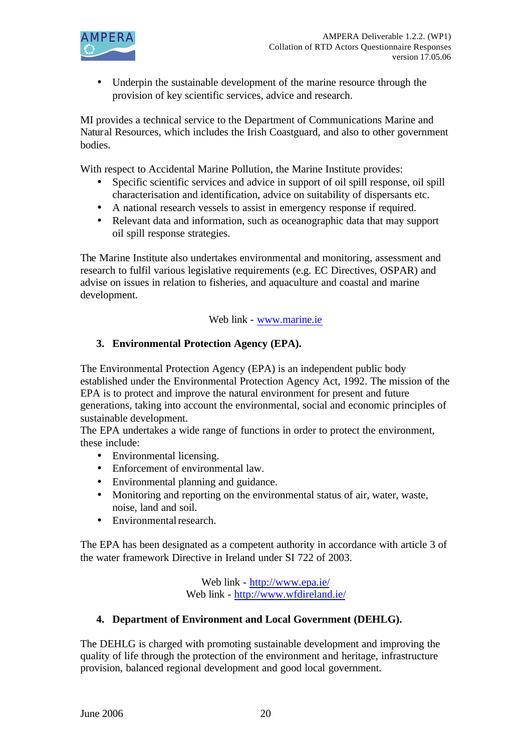

• Underpin the sustainable development of the marine resource through the provision of key scientific services, advice and research.

MI provides a technical service to the Department of Communications Marine and Natural Resources, which includes the Irish Coastguard, and also to other government bodies.

With respect to Accidental Marine Pollution, the Marine Institute provides:

- Specific scientific services and advice in support of oil spill response, oil spill characterisation and identification, advice on suitability of dispersants etc.
- A national research vessels to assist in emergency response if required.
- Relevant data and information, such as oceanographic data that may support oil spill response strategies.

The Marine Institute also undertakes environmental and monitoring, assessment and research to fulfil various legislative requirements (e.g. EC Directives, OSPAR) and advise on issues in relation to fisheries, and aquaculture and coastal and marine development.

Web link - www.marine.ie

# **3. Environmental Protection Agency (EPA).**

The Environmental Protection Agency (EPA) is an independent public body established under the Environmental Protection Agency Act, 1992. The mission of the EPA is to protect and improve the natural environment for present and future generations, taking into account the environmental, social and economic principles of sustainable development.

The EPA undertakes a wide range of functions in order to protect the environment, these include:

- Environmental licensing.
- Enforcement of environmental law.
- Environmental planning and guidance.
- Monitoring and reporting on the environmental status of air, water, waste, noise, land and soil.
- Environmental research.

The EPA has been designated as a competent authority in accordance with article 3 of the water framework Directive in Ireland under SI 722 of 2003.

> Web link - http://www.epa.ie/ Web link - http://www.wfdireland.ie/

# **4. Department of Environment and Local Government (DEHLG).**

The DEHLG is charged with promoting sustainable development and improving the quality of life through the protection of the environment and heritage, infrastructure provision, balanced regional development and good local government.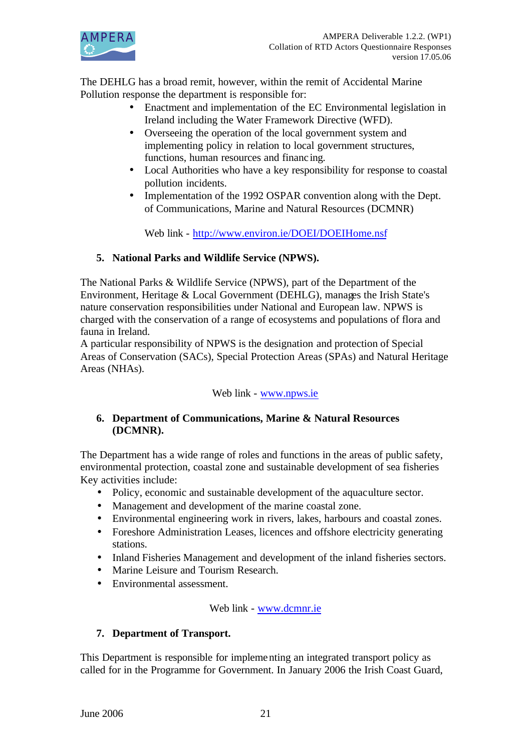

The DEHLG has a broad remit, however, within the remit of Accidental Marine Pollution response the department is responsible for:

- Enactment and implementation of the EC Environmental legislation in Ireland including the Water Framework Directive (WFD).
- Overseeing the operation of the local government system and implementing policy in relation to local government structures, functions, human resources and financ ing.
- Local Authorities who have a key responsibility for response to coastal pollution incidents.
- Implementation of the 1992 OSPAR convention along with the Dept. of Communications, Marine and Natural Resources (DCMNR)

Web link - http://www.environ.ie/DOEI/DOEIHome.nsf

# **5. National Parks and Wildlife Service (NPWS).**

The National Parks & Wildlife Service (NPWS), part of the Department of the Environment, Heritage & Local Government (DEHLG), manages the Irish State's nature conservation responsibilities under National and European law. NPWS is charged with the conservation of a range of ecosystems and populations of flora and fauna in Ireland.

A particular responsibility of NPWS is the designation and protection of Special Areas of Conservation (SACs), Special Protection Areas (SPAs) and Natural Heritage Areas (NHAs).

# Web link - www.npws.ie

# **6. Department of Communications, Marine & Natural Resources (DCMNR).**

The Department has a wide range of roles and functions in the areas of public safety, environmental protection, coastal zone and sustainable development of sea fisheries Key activities include:

- Policy, economic and sustainable development of the aquaculture sector.
- Management and development of the marine coastal zone.
- Environmental engineering work in rivers, lakes, harbours and coastal zones.
- Foreshore Administration Leases, licences and offshore electricity generating stations.
- Inland Fisheries Management and development of the inland fisheries sectors.
- Marine Leisure and Tourism Research.
- Environmental assessment.

# Web link - www.dcmnr.ie

# **7. Department of Transport.**

This Department is responsible for implementing an integrated transport policy as called for in the Programme for Government. In January 2006 the Irish Coast Guard,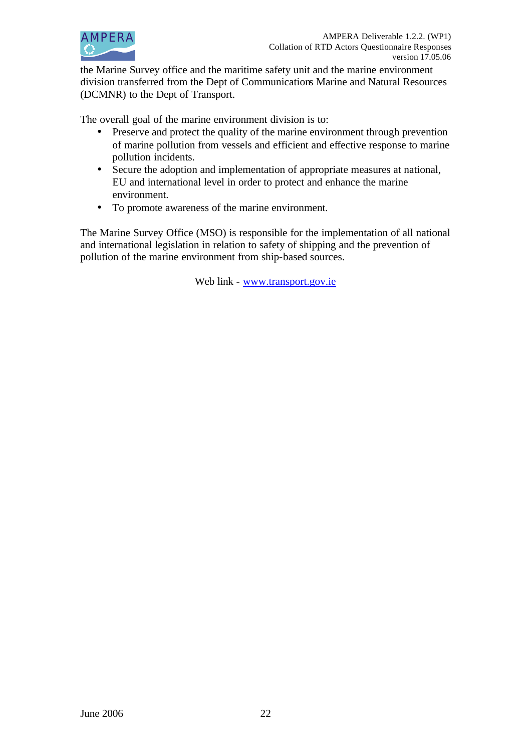

the Marine Survey office and the maritime safety unit and the marine environment division transferred from the Dept of Communications Marine and Natural Resources (DCMNR) to the Dept of Transport.

The overall goal of the marine environment division is to:

- Preserve and protect the quality of the marine environment through prevention of marine pollution from vessels and efficient and effective response to marine pollution incidents.
- Secure the adoption and implementation of appropriate measures at national, EU and international level in order to protect and enhance the marine environment.
- To promote awareness of the marine environment.

The Marine Survey Office (MSO) is responsible for the implementation of all national and international legislation in relation to safety of shipping and the prevention of pollution of the marine environment from ship-based sources.

Web link - www.transport.gov.ie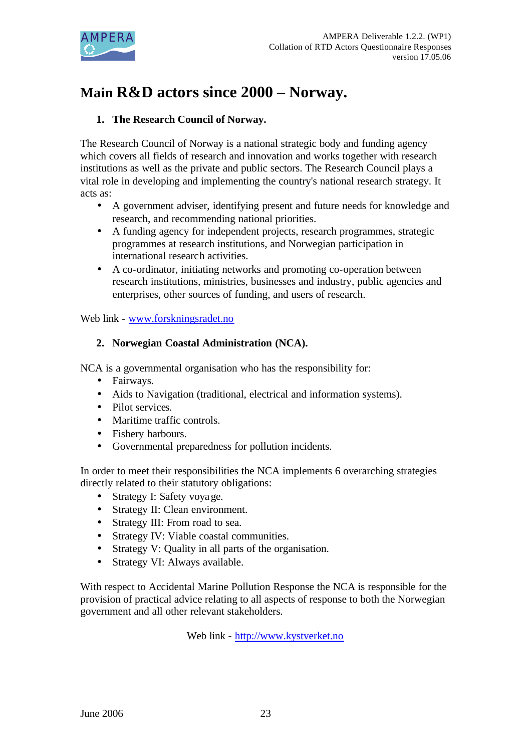

# **Main R&D actors since 2000 – Norway.**

# **1. The Research Council of Norway.**

The Research Council of Norway is a national strategic body and funding agency which covers all fields of research and innovation and works together with research institutions as well as the private and public sectors. The Research Council plays a vital role in developing and implementing the country's national research strategy. It acts as:

- A government adviser, identifying present and future needs for knowledge and research, and recommending national priorities.
- A funding agency for independent projects, research programmes, strategic programmes at research institutions, and Norwegian participation in international research activities.
- A co-ordinator, initiating networks and promoting co-operation between research institutions, ministries, businesses and industry, public agencies and enterprises, other sources of funding, and users of research.

# Web link - www.forskningsradet.no

# **2. Norwegian Coastal Administration (NCA).**

NCA is a governmental organisation who has the responsibility for:

- Fairways.
- Aids to Navigation (traditional, electrical and information systems).
- Pilot services.
- Maritime traffic controls.
- Fishery harbours.
- Governmental preparedness for pollution incidents.

In order to meet their responsibilities the NCA implements 6 overarching strategies directly related to their statutory obligations:

- Strategy I: Safety voyage.
- Strategy II: Clean environment.
- Strategy III: From road to sea.
- Strategy IV: Viable coastal communities.
- Strategy V: Quality in all parts of the organisation.
- Strategy VI: Always available.

With respect to Accidental Marine Pollution Response the NCA is responsible for the provision of practical advice relating to all aspects of response to both the Norwegian government and all other relevant stakeholders.

Web link - http://www.kystverket.no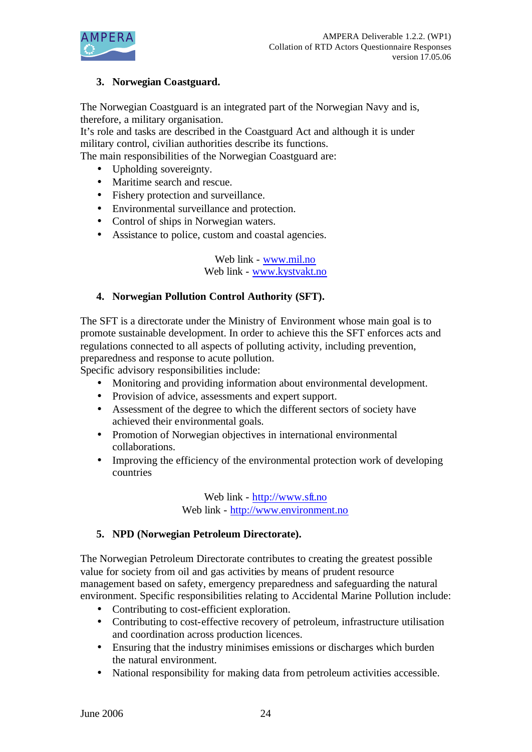

# **3. Norwegian Coastguard.**

The Norwegian Coastguard is an integrated part of the Norwegian Navy and is, therefore, a military organisation.

It's role and tasks are described in the Coastguard Act and although it is under military control, civilian authorities describe its functions.

The main responsibilities of the Norwegian Coastguard are:

- Upholding sovereignty.
- Maritime search and rescue.
- Fishery protection and surveillance.
- Environmental surveillance and protection.
- Control of ships in Norwegian waters.
- Assistance to police, custom and coastal agencies.

Web link - www.mil.no Web link - www.kystvakt.no

#### **4. Norwegian Pollution Control Authority (SFT).**

The SFT is a directorate under the Ministry of Environment whose main goal is to promote sustainable development. In order to achieve this the SFT enforces acts and regulations connected to all aspects of polluting activity, including prevention, preparedness and response to acute pollution.

Specific advisory responsibilities include:

- Monitoring and providing information about environmental development.
- Provision of advice, assessments and expert support.
- Assessment of the degree to which the different sectors of society have achieved their environmental goals.
- Promotion of Norwegian objectives in international environmental collaborations.
- Improving the efficiency of the environmental protection work of developing countries

Web link - http://www.sft.no Web link - http://www.environment.no

#### **5. NPD (Norwegian Petroleum Directorate).**

The Norwegian Petroleum Directorate contributes to creating the greatest possible value for society from oil and gas activities by means of prudent resource management based on safety, emergency preparedness and safeguarding the natural environment. Specific responsibilities relating to Accidental Marine Pollution include:

- Contributing to cost-efficient exploration.
- Contributing to cost-effective recovery of petroleum, infrastructure utilisation and coordination across production licences.
- Ensuring that the industry minimises emissions or discharges which burden the natural environment.
- National responsibility for making data from petroleum activities accessible.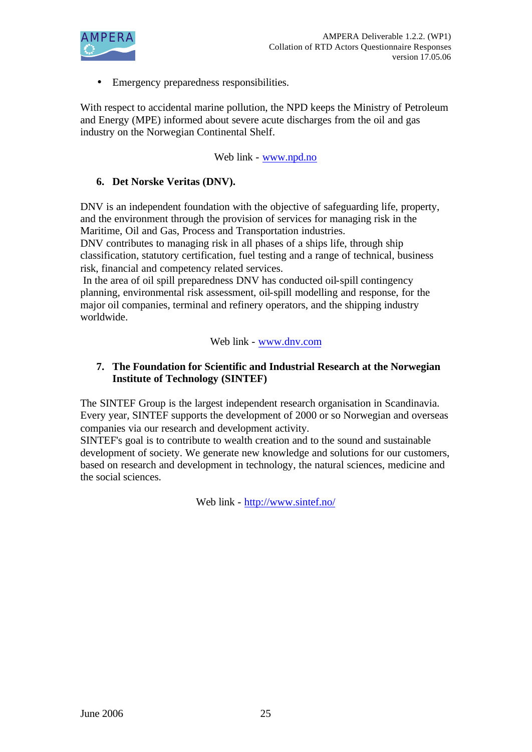

• Emergency preparedness responsibilities.

With respect to accidental marine pollution, the NPD keeps the Ministry of Petroleum and Energy (MPE) informed about severe acute discharges from the oil and gas industry on the Norwegian Continental Shelf.

Web link - www.npd.no

# **6. Det Norske Veritas (DNV).**

DNV is an independent foundation with the objective of safeguarding life, property, and the environment through the provision of services for managing risk in the Maritime, Oil and Gas, Process and Transportation industries.

DNV contributes to managing risk in all phases of a ships life, through ship classification, statutory certification, fuel testing and a range of technical, business risk, financial and competency related services.

 In the area of oil spill preparedness DNV has conducted oil-spill contingency planning, environmental risk assessment, oil-spill modelling and response, for the major oil companies, terminal and refinery operators, and the shipping industry worldwide.

#### Web link - www.dnv.com

#### **7. The Foundation for Scientific and Industrial Research at the Norwegian Institute of Technology (SINTEF)**

The SINTEF Group is the largest independent research organisation in Scandinavia. Every year, SINTEF supports the development of 2000 or so Norwegian and overseas companies via our research and development activity.

SINTEF's goal is to contribute to wealth creation and to the sound and sustainable development of society. We generate new knowledge and solutions for our customers, based on research and development in technology, the natural sciences, medicine and the social sciences.

Web link - http://www.sintef.no/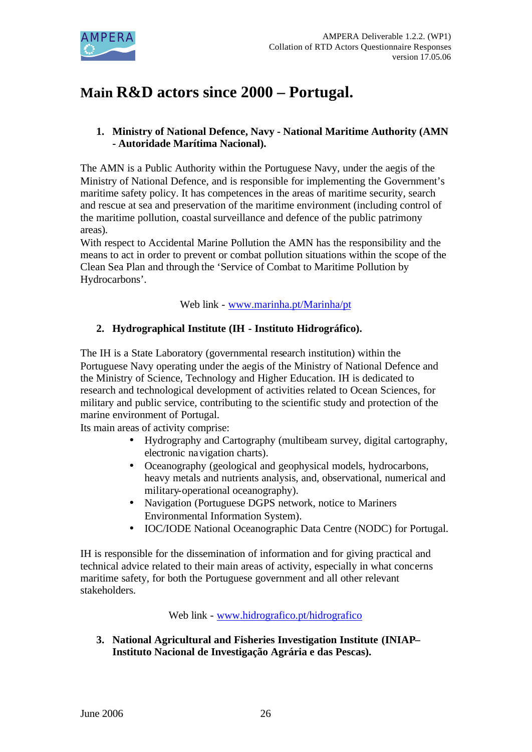

# **Main R&D actors since 2000 – Portugal.**

# **1. Ministry of National Defence, Navy - National Maritime Authority (AMN - Autoridade Marítima Nacional).**

The AMN is a Public Authority within the Portuguese Navy, under the aegis of the Ministry of National Defence, and is responsible for implementing the Government's maritime safety policy. It has competences in the areas of maritime security, search and rescue at sea and preservation of the maritime environment (including control of the maritime pollution, coastal surveillance and defence of the public patrimony areas).

With respect to Accidental Marine Pollution the AMN has the responsibility and the means to act in order to prevent or combat pollution situations within the scope of the Clean Sea Plan and through the 'Service of Combat to Maritime Pollution by Hydrocarbons'.

Web link - www.marinha.pt/Marinha/pt

# **2. Hydrographical Institute (IH - Instituto Hidrográfico).**

The IH is a State Laboratory (governmental research institution) within the Portuguese Navy operating under the aegis of the Ministry of National Defence and the Ministry of Science, Technology and Higher Education. IH is dedicated to research and technological development of activities related to Ocean Sciences, for military and public service, contributing to the scientific study and protection of the marine environment of Portugal.

Its main areas of activity comprise:

- Hydrography and Cartography (multibeam survey, digital cartography, electronic navigation charts).
- Oceanography (geological and geophysical models, hydrocarbons, heavy metals and nutrients analysis, and, observational, numerical and military-operational oceanography).
- Navigation (Portuguese DGPS network, notice to Mariners Environmental Information System).
- IOC/IODE National Oceanographic Data Centre (NODC) for Portugal.

IH is responsible for the dissemination of information and for giving practical and technical advice related to their main areas of activity, especially in what concerns maritime safety, for both the Portuguese government and all other relevant stakeholders.

Web link - www.hidrografico.pt/hidrografico

**3. National Agricultural and Fisheries Investigation Institute (INIAP– Instituto Nacional de Investigação Agrária e das Pescas).**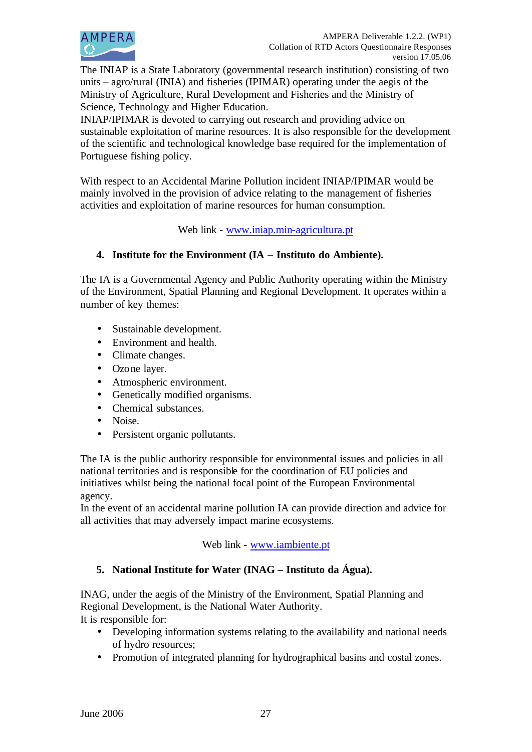

The INIAP is a State Laboratory (governmental research institution) consisting of two units – agro/rural (INIA) and fisheries (IPIMAR) operating under the aegis of the Ministry of Agriculture, Rural Development and Fisheries and the Ministry of Science, Technology and Higher Education.

INIAP/IPIMAR is devoted to carrying out research and providing advice on sustainable exploitation of marine resources. It is also responsible for the development of the scientific and technological knowledge base required for the implementation of Portuguese fishing policy.

With respect to an Accidental Marine Pollution incident INIAP/IPIMAR would be mainly involved in the provision of advice relating to the management of fisheries activities and exploitation of marine resources for human consumption.

Web link - www.iniap.min-agricultura.pt

# **4. Institute for the Environment (IA – Instituto do Ambiente).**

The IA is a Governmental Agency and Public Authority operating within the Ministry of the Environment, Spatial Planning and Regional Development. It operates within a number of key themes:

- Sustainable development.
- Environment and health.
- Climate changes.
- Ozone layer.
- Atmospheric environment.
- Genetically modified organisms.
- Chemical substances.
- Noise.
- Persistent organic pollutants.

The IA is the public authority responsible for environmental issues and policies in all national territories and is responsible for the coordination of EU policies and initiatives whilst being the national focal point of the European Environmental agency.

In the event of an accidental marine pollution IA can provide direction and advice for all activities that may adversely impact marine ecosystems.

# Web link - www.iambiente.pt

# **5. National Institute for Water (INAG – Instituto da Água).**

INAG, under the aegis of the Ministry of the Environment, Spatial Planning and Regional Development, is the National Water Authority. It is responsible for:

- Developing information systems relating to the availability and national needs of hydro resources;
- Promotion of integrated planning for hydrographical basins and costal zones.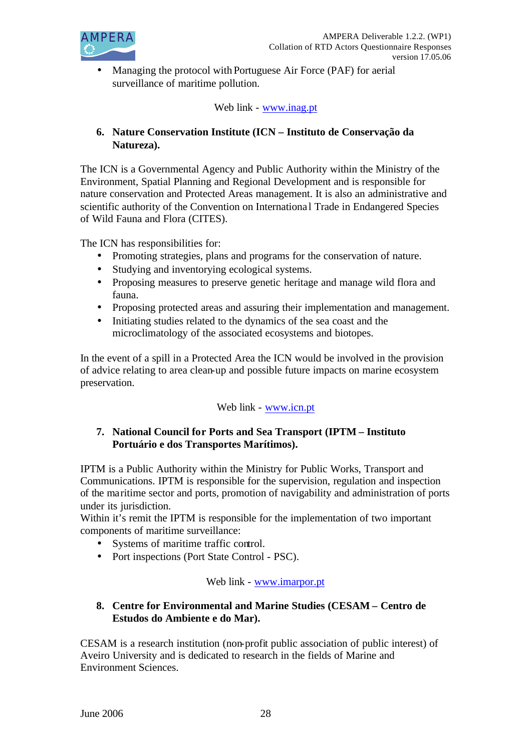

• Managing the protocol with Portuguese Air Force (PAF) for aerial surveillance of maritime pollution.

Web link - www.inag.pt

# **6. Nature Conservation Institute (ICN – Instituto de Conservação da Natureza).**

The ICN is a Governmental Agency and Public Authority within the Ministry of the Environment, Spatial Planning and Regional Development and is responsible for nature conservation and Protected Areas management. It is also an administrative and scientific authority of the Convention on Internationa l Trade in Endangered Species of Wild Fauna and Flora (CITES).

The ICN has responsibilities for:

- Promoting strategies, plans and programs for the conservation of nature.
- Studying and inventorying ecological systems.
- Proposing measures to preserve genetic heritage and manage wild flora and fauna.
- Proposing protected areas and assuring their implementation and management.
- Initiating studies related to the dynamics of the sea coast and the microclimatology of the associated ecosystems and biotopes.

In the event of a spill in a Protected Area the ICN would be involved in the provision of advice relating to area clean-up and possible future impacts on marine ecosystem preservation.

# Web link - www.icn.pt

# **7. National Council for Ports and Sea Transport (IPTM – Instituto Portuário e dos Transportes Marítimos).**

IPTM is a Public Authority within the Ministry for Public Works, Transport and Communications. IPTM is responsible for the supervision, regulation and inspection of the maritime sector and ports, promotion of navigability and administration of ports under its jurisdiction.

Within it's remit the IPTM is responsible for the implementation of two important components of maritime surveillance:

- Systems of maritime traffic control.
- Port inspections (Port State Control PSC).

# Web link - www.imarpor.pt

# **8. Centre for Environmental and Marine Studies (CESAM – Centro de Estudos do Ambiente e do Mar).**

CESAM is a research institution (non-profit public association of public interest) of Aveiro University and is dedicated to research in the fields of Marine and Environment Sciences.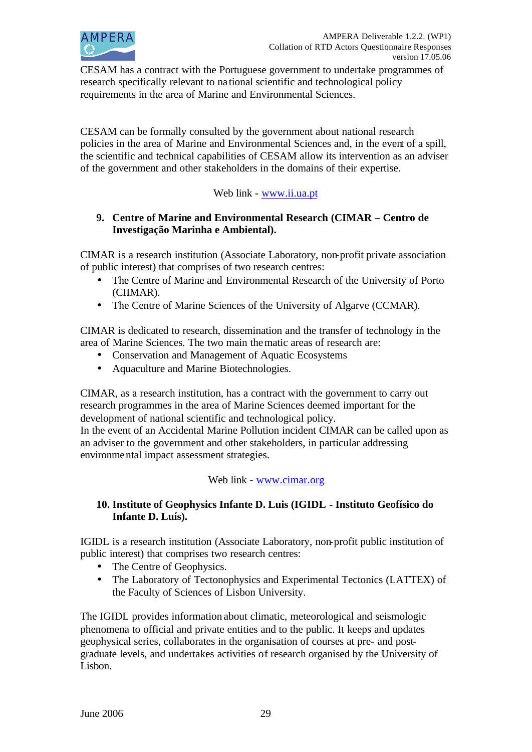

CESAM has a contract with the Portuguese government to undertake programmes of research specifically relevant to na tional scientific and technological policy requirements in the area of Marine and Environmental Sciences.

CESAM can be formally consulted by the government about national research policies in the area of Marine and Environmental Sciences and, in the event of a spill, the scientific and technical capabilities of CESAM allow its intervention as an adviser of the government and other stakeholders in the domains of their expertise.

# Web link - www.ii.ua.pt

### **9. Centre of Marine and Environmental Research (CIMAR – Centro de Investigação Marinha e Ambiental).**

CIMAR is a research institution (Associate Laboratory, non-profit private association of public interest) that comprises of two research centres:

- The Centre of Marine and Environmental Research of the University of Porto (CIIMAR).
- The Centre of Marine Sciences of the University of Algarve (CCMAR).

CIMAR is dedicated to research, dissemination and the transfer of technology in the area of Marine Sciences. The two main thematic areas of research are:

- Conservation and Management of Aquatic Ecosystems
- Aquaculture and Marine Biotechnologies.

CIMAR, as a research institution, has a contract with the government to carry out research programmes in the area of Marine Sciences deemed important for the development of national scientific and technological policy.

In the event of an Accidental Marine Pollution incident CIMAR can be called upon as an adviser to the government and other stakeholders, in particular addressing environmental impact assessment strategies.

# Web link - www.cimar.org

#### **10. Institute of Geophysics Infante D. Luis (IGIDL - Instituto Geofísico do Infante D. Luís).**

IGIDL is a research institution (Associate Laboratory, non-profit public institution of public interest) that comprises two research centres:

- The Centre of Geophysics.
- The Laboratory of Tectonophysics and Experimental Tectonics (LATTEX) of the Faculty of Sciences of Lisbon University.

The IGIDL provides information about climatic, meteorological and seismologic phenomena to official and private entities and to the public. It keeps and updates geophysical series, collaborates in the organisation of courses at pre- and postgraduate levels, and undertakes activities of research organised by the University of Lisbon.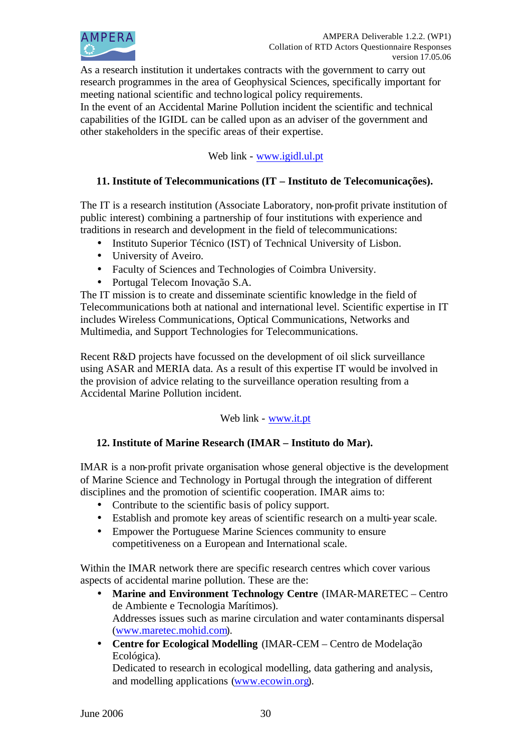

As a research institution it undertakes contracts with the government to carry out research programmes in the area of Geophysical Sciences, specifically important for meeting national scientific and technological policy requirements.

In the event of an Accidental Marine Pollution incident the scientific and technical capabilities of the IGIDL can be called upon as an adviser of the government and other stakeholders in the specific areas of their expertise.

# Web link - www.igidl.ul.pt

# **11. Institute of Telecommunications (IT – Instituto de Telecomunicações).**

The IT is a research institution (Associate Laboratory, non-profit private institution of public interest) combining a partnership of four institutions with experience and traditions in research and development in the field of telecommunications:

- Instituto Superior Técnico (IST) of Technical University of Lisbon.
- University of Aveiro.
- Faculty of Sciences and Technologies of Coimbra University.
- Portugal Telecom Inovação S.A.

The IT mission is to create and disseminate scientific knowledge in the field of Telecommunications both at national and international level. Scientific expertise in IT includes Wireless Communications, Optical Communications, Networks and Multimedia, and Support Technologies for Telecommunications.

Recent R&D projects have focussed on the development of oil slick surveillance using ASAR and MERIA data. As a result of this expertise IT would be involved in the provision of advice relating to the surveillance operation resulting from a Accidental Marine Pollution incident.

# Web link - www.it.pt

# **12. Institute of Marine Research (IMAR – Instituto do Mar).**

IMAR is a non-profit private organisation whose general objective is the development of Marine Science and Technology in Portugal through the integration of different disciplines and the promotion of scientific cooperation. IMAR aims to:

- Contribute to the scientific basis of policy support.
- Establish and promote key areas of scientific research on a multi-year scale.
- Empower the Portuguese Marine Sciences community to ensure competitiveness on a European and International scale.

Within the IMAR network there are specific research centres which cover various aspects of accidental marine pollution. These are the:

- **Marine and Environment Technology Centre** (IMAR-MARETEC Centro de Ambiente e Tecnologia Marítimos). Addresses issues such as marine circulation and water contaminants dispersal (www.maretec.mohid.com).
- **Centre for Ecological Modelling** (IMAR-CEM Centro de Modelação Ecológica).

Dedicated to research in ecological modelling, data gathering and analysis, and modelling applications (www.ecowin.org).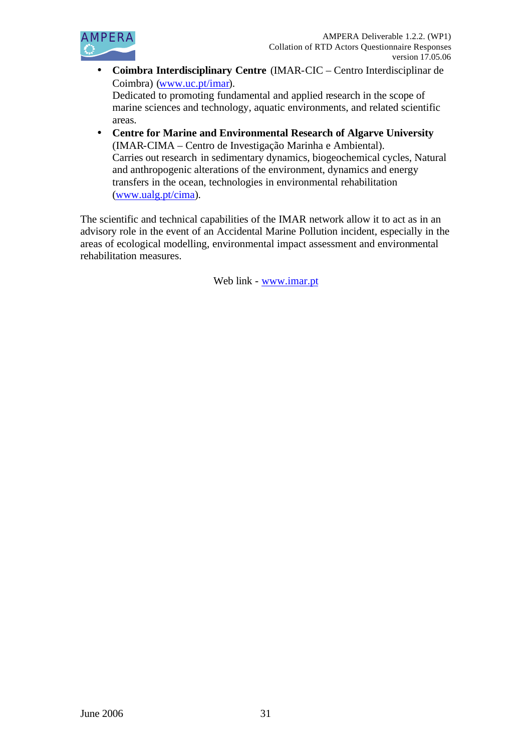

- **Coimbra Interdisciplinary Centre** (IMAR-CIC Centro Interdisciplinar de Coimbra) (www.uc.pt/imar). Dedicated to promoting fundamental and applied research in the scope of marine sciences and technology, aquatic environments, and related scientific areas.
- **Centre for Marine and Environmental Research of Algarve University** (IMAR-CIMA – Centro de Investigação Marinha e Ambiental). Carries out research in sedimentary dynamics, biogeochemical cycles, Natural and anthropogenic alterations of the environment, dynamics and energy transfers in the ocean, technologies in environmental rehabilitation (www.ualg.pt/cima).

The scientific and technical capabilities of the IMAR network allow it to act as in an advisory role in the event of an Accidental Marine Pollution incident, especially in the areas of ecological modelling, environmental impact assessment and environmental rehabilitation measures.

Web link - www.imar.pt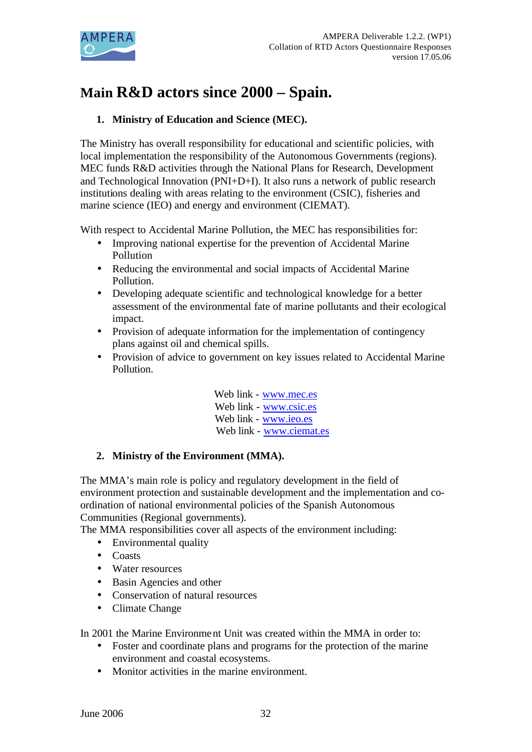

# **Main R&D actors since 2000 – Spain.**

# **1. Ministry of Education and Science (MEC).**

The Ministry has overall responsibility for educational and scientific policies, with local implementation the responsibility of the Autonomous Governments (regions). MEC funds R&D activities through the National Plans for Research, Development and Technological Innovation (PNI+D+I). It also runs a network of public research institutions dealing with areas relating to the environment (CSIC), fisheries and marine science (IEO) and energy and environment (CIEMAT).

With respect to Accidental Marine Pollution, the MEC has responsibilities for:

- Improving national expertise for the prevention of Accidental Marine Pollution
- Reducing the environmental and social impacts of Accidental Marine Pollution.
- Developing adequate scientific and technological knowledge for a better assessment of the environmental fate of marine pollutants and their ecological impact.
- Provision of adequate information for the implementation of contingency plans against oil and chemical spills.
- Provision of advice to government on key issues related to Accidental Marine Pollution.

Web link - www.mec.es Web link - www.csic.es Web link - www.ieo.es Web link - www.ciemat.es

# **2. Ministry of the Environment (MMA).**

The MMA's main role is policy and regulatory development in the field of environment protection and sustainable development and the implementation and coordination of national environmental policies of the Spanish Autonomous Communities (Regional governments).

The MMA responsibilities cover all aspects of the environment including:

- Environmental quality
- Coasts
- Water resources
- Basin Agencies and other
- Conservation of natural resources
- Climate Change

In 2001 the Marine Environment Unit was created within the MMA in order to:

- Foster and coordinate plans and programs for the protection of the marine environment and coastal ecosystems.
- Monitor activities in the marine environment.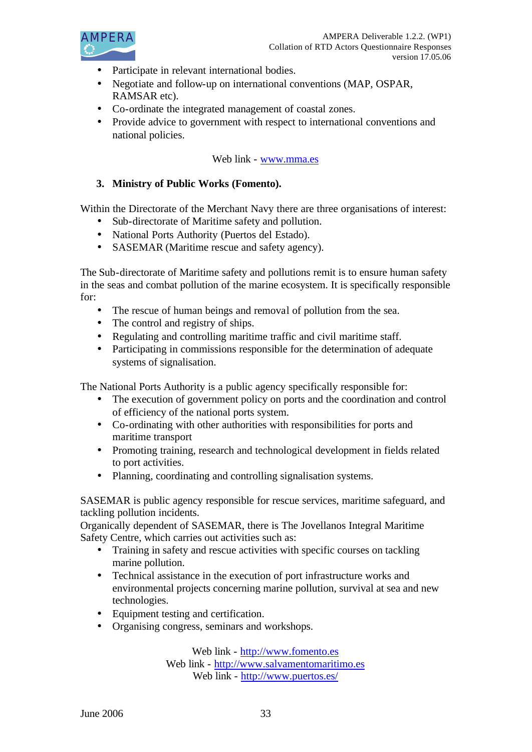

- Participate in relevant international bodies.
- Negotiate and follow-up on international conventions (MAP, OSPAR, RAMSAR etc).
- Co-ordinate the integrated management of coastal zones.
- Provide advice to government with respect to international conventions and national policies.

#### Web link - www.mma.es

#### **3. Ministry of Public Works (Fomento).**

Within the Directorate of the Merchant Navy there are three organisations of interest:

- Sub-directorate of Maritime safety and pollution.
- National Ports Authority (Puertos del Estado).
- SASEMAR (Maritime rescue and safety agency).

The Sub-directorate of Maritime safety and pollutions remit is to ensure human safety in the seas and combat pollution of the marine ecosystem. It is specifically responsible for:

- The rescue of human beings and removal of pollution from the sea.
- The control and registry of ships.
- Regulating and controlling maritime traffic and civil maritime staff.
- Participating in commissions responsible for the determination of adequate systems of signalisation.

The National Ports Authority is a public agency specifically responsible for:

- The execution of government policy on ports and the coordination and control of efficiency of the national ports system.
- Co-ordinating with other authorities with responsibilities for ports and maritime transport
- Promoting training, research and technological development in fields related to port activities.
- Planning, coordinating and controlling signalisation systems.

SASEMAR is public agency responsible for rescue services, maritime safeguard, and tackling pollution incidents.

Organically dependent of SASEMAR, there is The Jovellanos Integral Maritime Safety Centre, which carries out activities such as:

- Training in safety and rescue activities with specific courses on tackling marine pollution.
- Technical assistance in the execution of port infrastructure works and environmental projects concerning marine pollution, survival at sea and new technologies.
- Equipment testing and certification.
- Organising congress, seminars and workshops.

Web link - http://www.fomento.es Web link - http://www.salvamentomaritimo.es

Web link - http://www.puertos.es/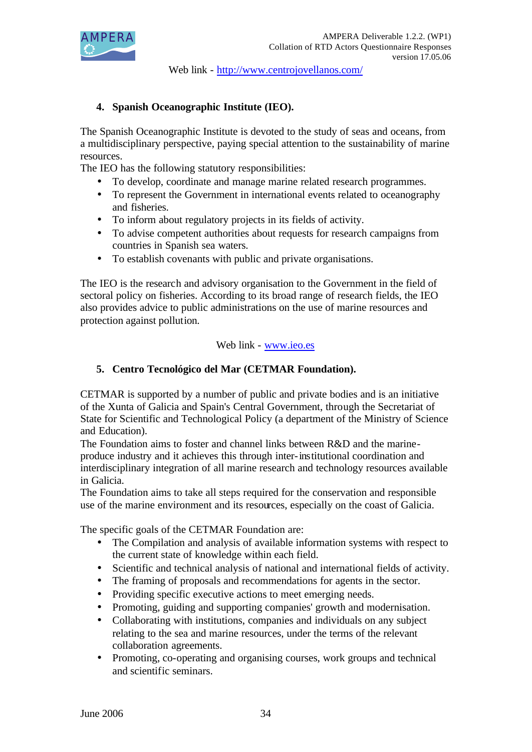

Web link - http://www.centrojovellanos.com/

# **4. Spanish Oceanographic Institute (IEO).**

The Spanish Oceanographic Institute is devoted to the study of seas and oceans, from a multidisciplinary perspective, paying special attention to the sustainability of marine resources.

The IEO has the following statutory responsibilities:

- To develop, coordinate and manage marine related research programmes.
- To represent the Government in international events related to oceanography and fisheries.
- To inform about regulatory projects in its fields of activity.
- To advise competent authorities about requests for research campaigns from countries in Spanish sea waters.
- To establish covenants with public and private organisations.

The IEO is the research and advisory organisation to the Government in the field of sectoral policy on fisheries. According to its broad range of research fields, the IEO also provides advice to public administrations on the use of marine resources and protection against pollution.

#### Web link - www.ieo.es

# **5. Centro Tecnológico del Mar (CETMAR Foundation).**

CETMAR is supported by a number of public and private bodies and is an initiative of the Xunta of Galicia and Spain's Central Government, through the Secretariat of State for Scientific and Technological Policy (a department of the Ministry of Science and Education).

The Foundation aims to foster and channel links between R&D and the marineproduce industry and it achieves this through inter-institutional coordination and interdisciplinary integration of all marine research and technology resources available in Galicia.

The Foundation aims to take all steps required for the conservation and responsible use of the marine environment and its resources, especially on the coast of Galicia.

The specific goals of the CETMAR Foundation are:

- The Compilation and analysis of available information systems with respect to the current state of knowledge within each field.
- Scientific and technical analysis of national and international fields of activity.
- The framing of proposals and recommendations for agents in the sector.
- Providing specific executive actions to meet emerging needs.
- Promoting, guiding and supporting companies' growth and modernisation.
- Collaborating with institutions, companies and individuals on any subject relating to the sea and marine resources, under the terms of the relevant collaboration agreements.
- Promoting, co-operating and organising courses, work groups and technical and scientific seminars.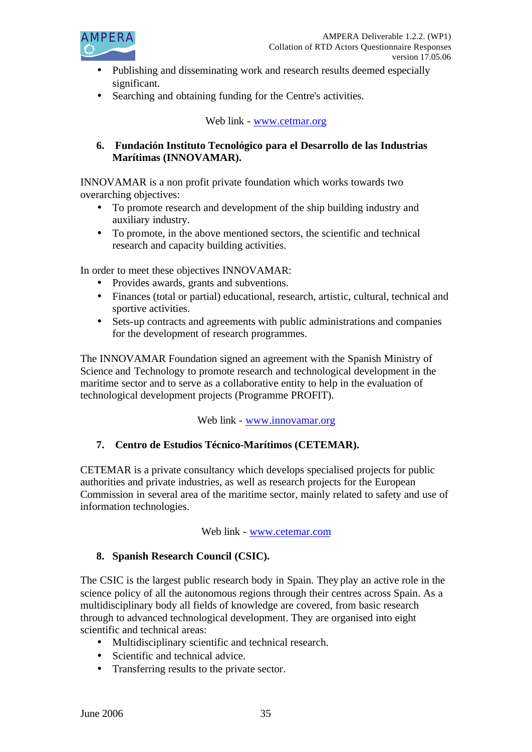

- Publishing and disseminating work and research results deemed especially significant.
- Searching and obtaining funding for the Centre's activities.

### Web link - www.cetmar.org

### **6. Fundación Instituto Tecnológico para el Desarrollo de las Industrias Marítimas (INNOVAMAR).**

INNOVAMAR is a non profit private foundation which works towards two overarching objectives:

- To promote research and development of the ship building industry and auxiliary industry.
- To promote, in the above mentioned sectors, the scientific and technical research and capacity building activities.

In order to meet these objectives INNOVAMAR:

- Provides awards, grants and subventions.
- Finances (total or partial) educational, research, artistic, cultural, technical and sportive activities.
- Sets-up contracts and agreements with public administrations and companies for the development of research programmes.

The INNOVAMAR Foundation signed an agreement with the Spanish Ministry of Science and Technology to promote research and technological development in the maritime sector and to serve as a collaborative entity to help in the evaluation of technological development projects (Programme PROFIT).

Web link - www.innovamar.org

# **7. Centro de Estudios Técnico-Marítimos (CETEMAR).**

CETEMAR is a private consultancy which develops specialised projects for public authorities and private industries, as well as research projects for the European Commission in several area of the maritime sector, mainly related to safety and use of information technologies.

#### Web link - www.cetemar.com

# **8. Spanish Research Council (CSIC).**

The CSIC is the largest public research body in Spain. They play an active role in the science policy of all the autonomous regions through their centres across Spain. As a multidisciplinary body all fields of knowledge are covered, from basic research through to advanced technological development. They are organised into eight scientific and technical areas:

- Multidisciplinary scientific and technical research.
- Scientific and technical advice.
- Transferring results to the private sector.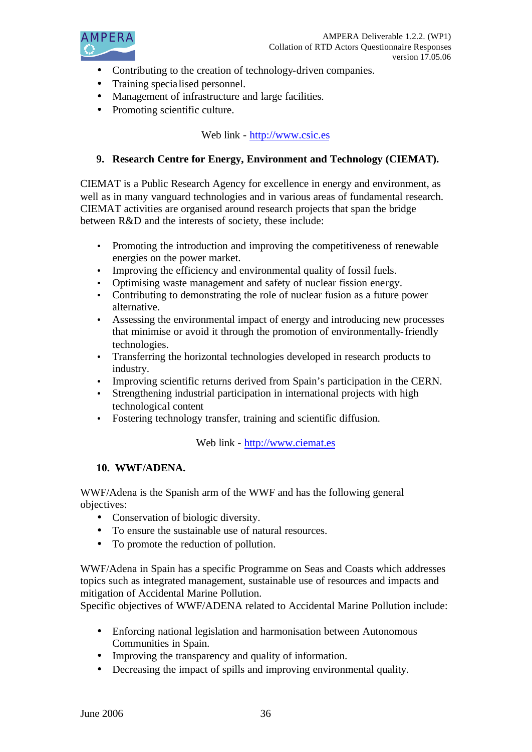

- Contributing to the creation of technology-driven companies.
- Training specialised personnel.
- Management of infrastructure and large facilities.
- Promoting scientific culture.

# Web link - http://www.csic.es

# **9. Research Centre for Energy, Environment and Technology (CIEMAT).**

CIEMAT is a Public Research Agency for excellence in energy and environment, as well as in many vanguard technologies and in various areas of fundamental research. CIEMAT activities are organised around research projects that span the bridge between R&D and the interests of society, these include:

- Promoting the introduction and improving the competitiveness of renewable energies on the power market.
- Improving the efficiency and environmental quality of fossil fuels.
- Optimising waste management and safety of nuclear fission energy.
- Contributing to demonstrating the role of nuclear fusion as a future power alternative.
- Assessing the environmental impact of energy and introducing new processes that minimise or avoid it through the promotion of environmentally-friendly technologies.
- Transferring the horizontal technologies developed in research products to industry.
- Improving scientific returns derived from Spain's participation in the CERN.
- Strengthening industrial participation in international projects with high technological content
- Fostering technology transfer, training and scientific diffusion.

Web link - http://www.ciemat.es

#### **10. WWF/ADENA.**

WWF/Adena is the Spanish arm of the WWF and has the following general objectives:

- Conservation of biologic diversity.
- To ensure the sustainable use of natural resources.
- To promote the reduction of pollution.

WWF/Adena in Spain has a specific Programme on Seas and Coasts which addresses topics such as integrated management, sustainable use of resources and impacts and mitigation of Accidental Marine Pollution.

Specific objectives of WWF/ADENA related to Accidental Marine Pollution include:

- Enforcing national legislation and harmonisation between Autonomous Communities in Spain.
- Improving the transparency and quality of information.
- Decreasing the impact of spills and improving environmental quality.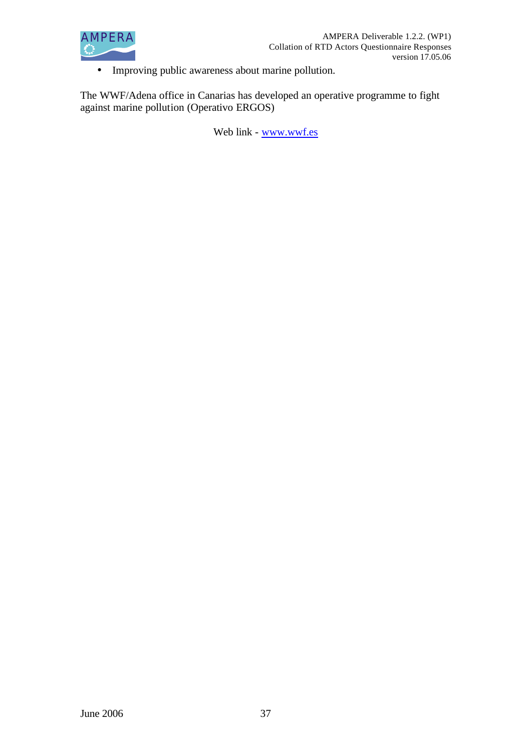

• Improving public awareness about marine pollution.

The WWF/Adena office in Canarias has developed an operative programme to fight against marine pollution (Operativo ERGOS)

Web link - www.wwf.es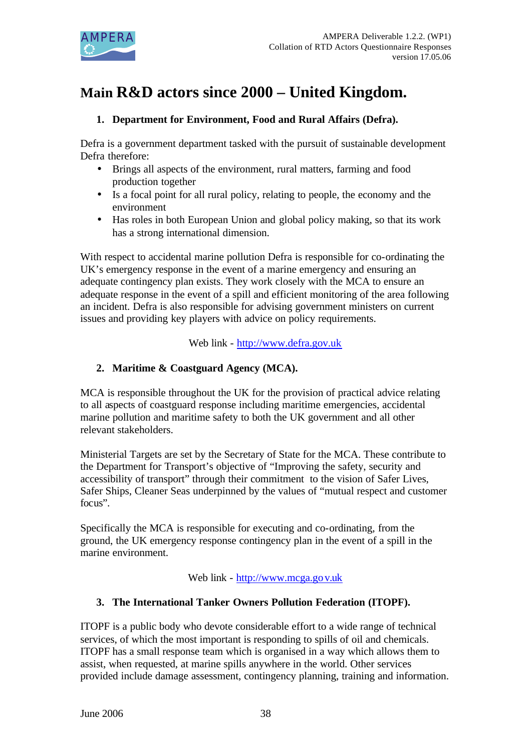

# **Main R&D actors since 2000 – United Kingdom.**

# **1. Department for Environment, Food and Rural Affairs (Defra).**

Defra is a government department tasked with the pursuit of sustainable development Defra therefore:

- Brings all aspects of the environment, rural matters, farming and food production together
- Is a focal point for all rural policy, relating to people, the economy and the environment
- Has roles in both European Union and global policy making, so that its work has a strong international dimension.

With respect to accidental marine pollution Defra is responsible for co-ordinating the UK's emergency response in the event of a marine emergency and ensuring an adequate contingency plan exists. They work closely with the MCA to ensure an adequate response in the event of a spill and efficient monitoring of the area following an incident. Defra is also responsible for advising government ministers on current issues and providing key players with advice on policy requirements.

Web link - http://www.defra.gov.uk

# **2. Maritime & Coastguard Agency (MCA).**

MCA is responsible throughout the UK for the provision of practical advice relating to all aspects of coastguard response including maritime emergencies, accidental marine pollution and maritime safety to both the UK government and all other relevant stakeholders.

Ministerial Targets are set by the Secretary of State for the MCA. These contribute to the Department for Transport's objective of "Improving the safety, security and accessibility of transport" through their commitment to the vision of Safer Lives, Safer Ships, Cleaner Seas underpinned by the values of "mutual respect and customer focus".

Specifically the MCA is responsible for executing and co-ordinating, from the ground, the UK emergency response contingency plan in the event of a spill in the marine environment.

Web link - http://www.mcga.gov.uk

# **3. The International Tanker Owners Pollution Federation (ITOPF).**

ITOPF is a public body who devote considerable effort to a wide range of technical services, of which the most important is responding to spills of oil and chemicals. ITOPF has a small response team which is organised in a way which allows them to assist, when requested, at marine spills anywhere in the world. Other services provided include damage assessment, contingency planning, training and information.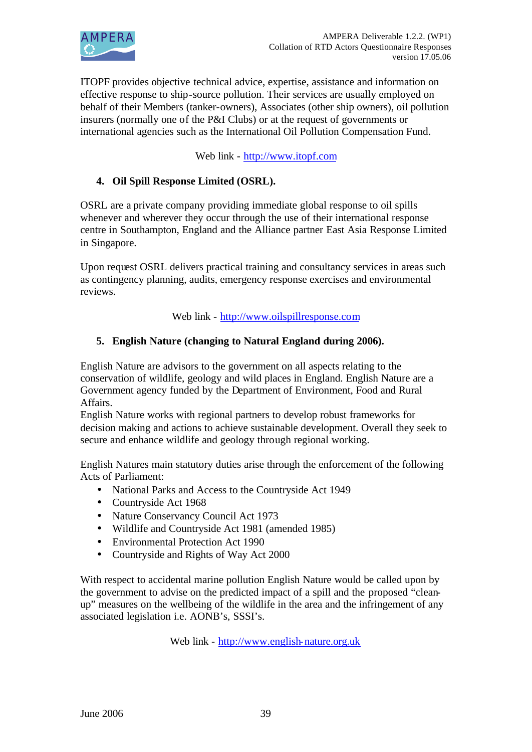

ITOPF provides objective technical advice, expertise, assistance and information on effective response to ship-source pollution. Their services are usually employed on behalf of their Members (tanker-owners), Associates (other ship owners), oil pollution insurers (normally one of the P&I Clubs) or at the request of governments or international agencies such as the International Oil Pollution Compensation Fund.

Web link - http://www.itopf.com

# **4. Oil Spill Response Limited (OSRL).**

OSRL are a private company providing immediate global response to oil spills whenever and wherever they occur through the use of their international response centre in Southampton, England and the Alliance partner East Asia Response Limited in Singapore.

Upon request OSRL delivers practical training and consultancy services in areas such as contingency planning, audits, emergency response exercises and environmental reviews.

Web link - http://www.oilspillresponse.com

#### **5. English Nature (changing to Natural England during 2006).**

English Nature are advisors to the government on all aspects relating to the conservation of wildlife, geology and wild places in England. English Nature are a Government agency funded by the Department of Environment, Food and Rural Affairs.

English Nature works with regional partners to develop robust frameworks for decision making and actions to achieve sustainable development. Overall they seek to secure and enhance wildlife and geology through regional working.

English Natures main statutory duties arise through the enforcement of the following Acts of Parliament:

- National Parks and Access to the Countryside Act 1949
- Countryside Act 1968
- Nature Conservancy Council Act 1973
- Wildlife and Countryside Act 1981 (amended 1985)
- Environmental Protection Act 1990
- Countryside and Rights of Way Act 2000

With respect to accidental marine pollution English Nature would be called upon by the government to advise on the predicted impact of a spill and the proposed "cleanup" measures on the wellbeing of the wildlife in the area and the infringement of any associated legislation i.e. AONB's, SSSI's.

Web link - http://www.english-nature.org.uk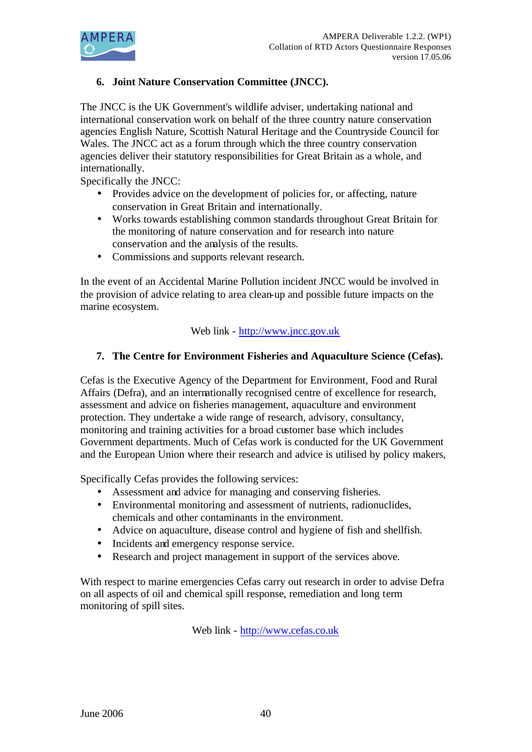

# **6. Joint Nature Conservation Committee (JNCC).**

The JNCC is the UK Government's wildlife adviser, undertaking national and international conservation work on behalf of the three country nature conservation agencies English Nature, Scottish Natural Heritage and the Countryside Council for Wales. The JNCC act as a forum through which the three country conservation agencies deliver their statutory responsibilities for Great Britain as a whole, and internationally.

Specifically the JNCC:

- Provides advice on the development of policies for, or affecting, nature conservation in Great Britain and internationally.
- Works towards establishing common standards throughout Great Britain for the monitoring of nature conservation and for research into nature conservation and the analysis of the results.
- Commissions and supports relevant research.

In the event of an Accidental Marine Pollution incident JNCC would be involved in the provision of advice relating to area clean-up and possible future impacts on the marine ecosystem.

#### Web link - http://www.jncc.gov.uk

#### **7. The Centre for Environment Fisheries and Aquaculture Science (Cefas).**

Cefas is the Executive Agency of the Department for Environment, Food and Rural Affairs (Defra), and an internationally recognised centre of excellence for research, assessment and advice on fisheries management, aquaculture and environment protection. They undertake a wide range of research, advisory, consultancy, monitoring and training activities for a broad customer base which includes Government departments. Much of Cefas work is conducted for the UK Government and the European Union where their research and advice is utilised by policy makers,

Specifically Cefas provides the following services:

- Assessment and advice for managing and conserving fisheries.
- Environmental monitoring and assessment of nutrients, radionuclides, chemicals and other contaminants in the environment.
- Advice on aquaculture, disease control and hygiene of fish and shellfish.
- Incidents and emergency response service.
- Research and project management in support of the services above.

With respect to marine emergencies Cefas carry out research in order to advise Defra on all aspects of oil and chemical spill response, remediation and long term monitoring of spill sites.

Web link - http://www.cefas.co.uk